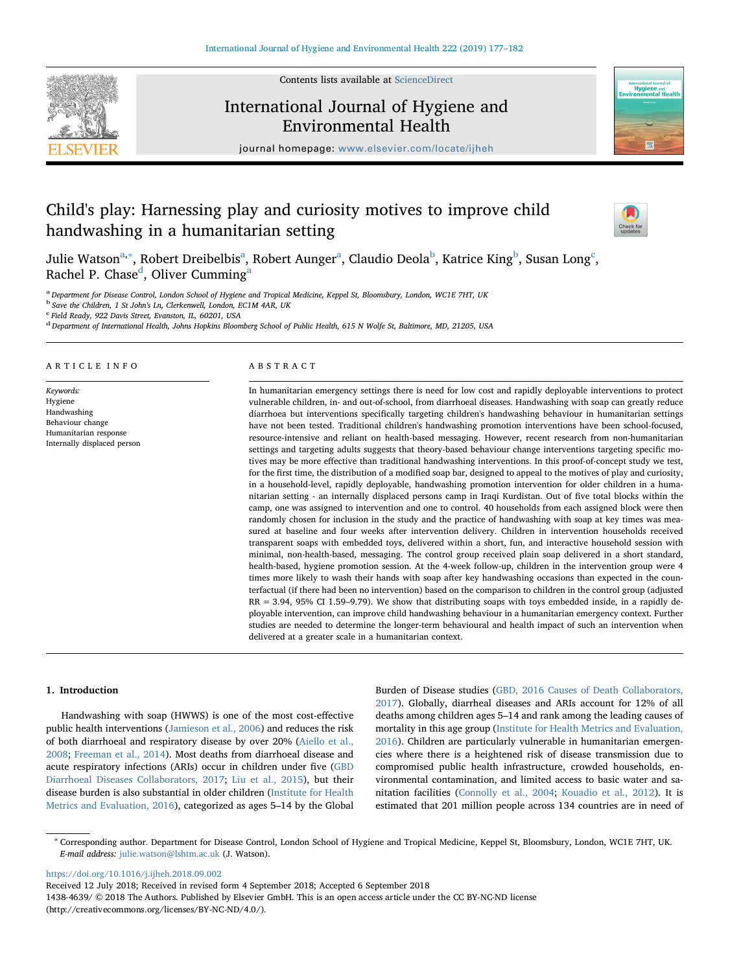

Contents lists available at [ScienceDirect](http://www.sciencedirect.com/science/journal/14384639)

# International Journal of Hygiene and Environmental Health



journal homepage: [www.elsevier.com/locate/ijheh](https://www.elsevier.com/locate/ijheh)

## Child's play: Harnessing play and curiosity motives to improve child handwashing in a humanitarian setting



Julie W[a](#page-0-0)tson $^{a,*}$ , Ro[b](#page-0-2)ert Dreibelbis $^{a}$ , Robert Aunger $^{a}$ , Claudio Deola $^{\rm b}$ , Katri[c](#page-0-3)e King $^{\rm b}$ , Susan Long $^{\rm c}$ , Rachel P. Chase<sup>[d](#page-0-4)</sup>, Oliver Cumming<sup>[a](#page-0-0)</sup>

<span id="page-0-0"></span>a Department for Disease Control, London School of Hygiene and Tropical Medicine, Keppel St, Bloomsbury, London, WC1E 7HT, UK

<span id="page-0-2"></span><sup>b</sup> Save the Children, 1 St John's Ln, Clerkenwell, London, EC1M 4AR, UK

<span id="page-0-3"></span><sup>c</sup> Field Ready, 922 Davis Street, Evanston, IL, 60201, USA

<span id="page-0-4"></span><sup>d</sup> Department of International Health, Johns Hopkins Bloomberg School of Public Health, 615 N Wolfe St, Baltimore, MD, 21205, USA

## ARTICLE INFO

Keywords: Hygiene Handwashing Behaviour change Humanitarian response Internally displaced person

## ABSTRACT

In humanitarian emergency settings there is need for low cost and rapidly deployable interventions to protect vulnerable children, in- and out-of-school, from diarrhoeal diseases. Handwashing with soap can greatly reduce diarrhoea but interventions specifically targeting children's handwashing behaviour in humanitarian settings have not been tested. Traditional children's handwashing promotion interventions have been school-focused, resource-intensive and reliant on health-based messaging. However, recent research from non-humanitarian settings and targeting adults suggests that theory-based behaviour change interventions targeting specific motives may be more effective than traditional handwashing interventions. In this proof-of-concept study we test, for the first time, the distribution of a modified soap bar, designed to appeal to the motives of play and curiosity, in a household-level, rapidly deployable, handwashing promotion intervention for older children in a humanitarian setting - an internally displaced persons camp in Iraqi Kurdistan. Out of five total blocks within the camp, one was assigned to intervention and one to control. 40 households from each assigned block were then randomly chosen for inclusion in the study and the practice of handwashing with soap at key times was measured at baseline and four weeks after intervention delivery. Children in intervention households received transparent soaps with embedded toys, delivered within a short, fun, and interactive household session with minimal, non-health-based, messaging. The control group received plain soap delivered in a short standard, health-based, hygiene promotion session. At the 4-week follow-up, children in the intervention group were 4 times more likely to wash their hands with soap after key handwashing occasions than expected in the counterfactual (if there had been no intervention) based on the comparison to children in the control group (adjusted  $RR = 3.94$ , 95% CI 1.59–9.79). We show that distributing soaps with toys embedded inside, in a rapidly deployable intervention, can improve child handwashing behaviour in a humanitarian emergency context. Further studies are needed to determine the longer-term behavioural and health impact of such an intervention when delivered at a greater scale in a humanitarian context.

## 1. Introduction

Handwashing with soap (HWWS) is one of the most cost-effective public health interventions ([Jamieson et al., 2006\)](#page-5-0) and reduces the risk of both diarrhoeal and respiratory disease by over 20% [\(Aiello et al.,](#page-5-1) [2008;](#page-5-1) [Freeman et al., 2014](#page-5-2)). Most deaths from diarrhoeal disease and acute respiratory infections (ARIs) occur in children under five ([GBD](#page-5-3) [Diarrhoeal Diseases Collaborators, 2017](#page-5-3); [Liu et al., 2015](#page-5-4)), but their disease burden is also substantial in older children [\(Institute for Health](#page-5-5) [Metrics and Evaluation, 2016](#page-5-5)), categorized as ages 5–14 by the Global Burden of Disease studies ([GBD, 2016 Causes of Death Collaborators,](#page-5-6) [2017\)](#page-5-6). Globally, diarrheal diseases and ARIs account for 12% of all deaths among children ages 5–14 and rank among the leading causes of mortality in this age group [\(Institute for Health Metrics and Evaluation,](#page-5-5) [2016\)](#page-5-5). Children are particularly vulnerable in humanitarian emergencies where there is a heightened risk of disease transmission due to compromised public health infrastructure, crowded households, environmental contamination, and limited access to basic water and sanitation facilities [\(Connolly et al., 2004;](#page-5-7) [Kouadio et al., 2012](#page-5-8)). It is estimated that 201 million people across 134 countries are in need of

<span id="page-0-1"></span><sup>∗</sup> Corresponding author. Department for Disease Control, London School of Hygiene and Tropical Medicine, Keppel St, Bloomsbury, London, WC1E 7HT, UK. E-mail address: [julie.watson@lshtm.ac.uk](mailto:julie.watson@lshtm.ac.uk) (J. Watson).

<https://doi.org/10.1016/j.ijheh.2018.09.002>

Received 12 July 2018; Received in revised form 4 September 2018; Accepted 6 September 2018 1438-4639/ © 2018 The Authors. Published by Elsevier GmbH. This is an open access article under the CC BY-NC-ND license (http://creativecommons.org/licenses/BY-NC-ND/4.0/).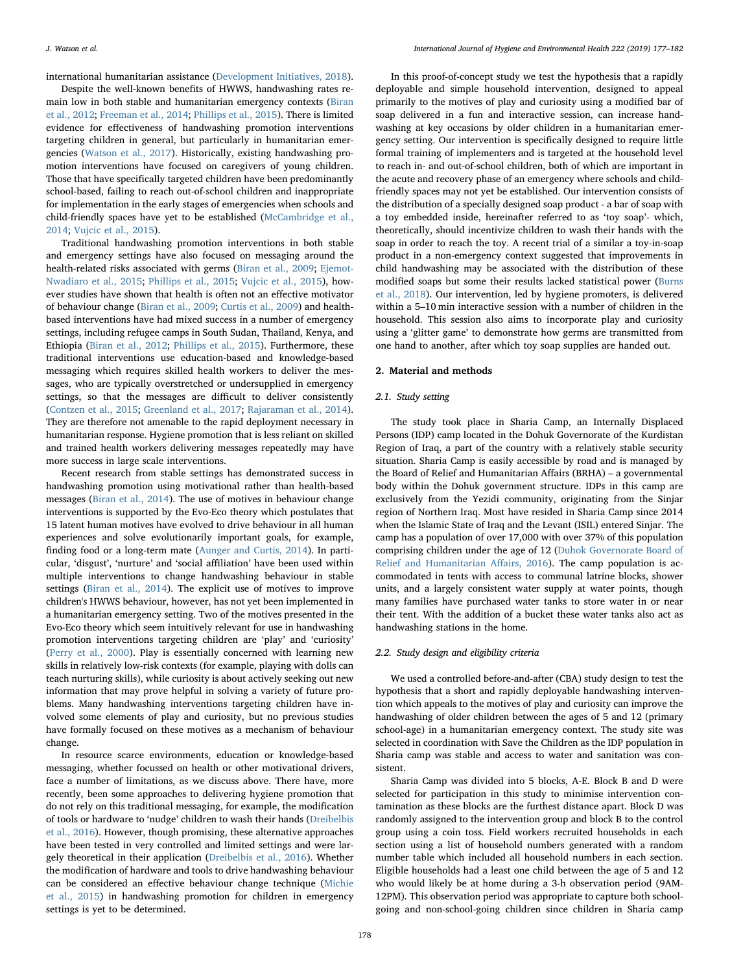international humanitarian assistance [\(Development Initiatives, 2018](#page-5-9)).

Despite the well-known benefits of HWWS, handwashing rates remain low in both stable and humanitarian emergency contexts ([Biran](#page-5-10) [et al., 2012](#page-5-10); [Freeman et al., 2014;](#page-5-2) [Phillips et al., 2015](#page-5-11)). There is limited evidence for effectiveness of handwashing promotion interventions targeting children in general, but particularly in humanitarian emergencies [\(Watson et al., 2017\)](#page-5-12). Historically, existing handwashing promotion interventions have focused on caregivers of young children. Those that have specifically targeted children have been predominantly school-based, failing to reach out-of-school children and inappropriate for implementation in the early stages of emergencies when schools and child-friendly spaces have yet to be established ([McCambridge et al.,](#page-5-13) [2014;](#page-5-13) [Vujcic et al., 2015\)](#page-5-14).

Traditional handwashing promotion interventions in both stable and emergency settings have also focused on messaging around the health-related risks associated with germs [\(Biran et al., 2009](#page-5-15); [Ejemot-](#page-5-16)[Nwadiaro et al., 2015](#page-5-16); [Phillips et al., 2015;](#page-5-11) [Vujcic et al., 2015\)](#page-5-14), however studies have shown that health is often not an effective motivator of behaviour change ([Biran et al., 2009;](#page-5-15) [Curtis et al., 2009](#page-5-17)) and healthbased interventions have had mixed success in a number of emergency settings, including refugee camps in South Sudan, Thailand, Kenya, and Ethiopia [\(Biran et al., 2012;](#page-5-10) [Phillips et al., 2015\)](#page-5-11). Furthermore, these traditional interventions use education-based and knowledge-based messaging which requires skilled health workers to deliver the messages, who are typically overstretched or undersupplied in emergency settings, so that the messages are difficult to deliver consistently ([Contzen et al., 2015;](#page-5-18) [Greenland et al., 2017](#page-5-19); [Rajaraman et al., 2014](#page-5-20)). They are therefore not amenable to the rapid deployment necessary in humanitarian response. Hygiene promotion that is less reliant on skilled and trained health workers delivering messages repeatedly may have more success in large scale interventions.

Recent research from stable settings has demonstrated success in handwashing promotion using motivational rather than health-based messages ([Biran et al., 2014\)](#page-5-21). The use of motives in behaviour change interventions is supported by the Evo-Eco theory which postulates that 15 latent human motives have evolved to drive behaviour in all human experiences and solve evolutionarily important goals, for example, finding food or a long-term mate ([Aunger and Curtis, 2014](#page-5-22)). In particular, 'disgust', 'nurture' and 'social affiliation' have been used within multiple interventions to change handwashing behaviour in stable settings [\(Biran et al., 2014](#page-5-21)). The explicit use of motives to improve children's HWWS behaviour, however, has not yet been implemented in a humanitarian emergency setting. Two of the motives presented in the Evo-Eco theory which seem intuitively relevant for use in handwashing promotion interventions targeting children are 'play' and 'curiosity' ([Perry et al., 2000\)](#page-5-23). Play is essentially concerned with learning new skills in relatively low-risk contexts (for example, playing with dolls can teach nurturing skills), while curiosity is about actively seeking out new information that may prove helpful in solving a variety of future problems. Many handwashing interventions targeting children have involved some elements of play and curiosity, but no previous studies have formally focused on these motives as a mechanism of behaviour change.

In resource scarce environments, education or knowledge-based messaging, whether focussed on health or other motivational drivers, face a number of limitations, as we discuss above. There have, more recently, been some approaches to delivering hygiene promotion that do not rely on this traditional messaging, for example, the modification of tools or hardware to 'nudge' children to wash their hands ([Dreibelbis](#page-5-24) [et al., 2016](#page-5-24)). However, though promising, these alternative approaches have been tested in very controlled and limited settings and were largely theoretical in their application ([Dreibelbis et al., 2016](#page-5-24)). Whether the modification of hardware and tools to drive handwashing behaviour can be considered an effective behaviour change technique ([Michie](#page-5-25) [et al., 2015](#page-5-25)) in handwashing promotion for children in emergency settings is yet to be determined.

In this proof-of-concept study we test the hypothesis that a rapidly deployable and simple household intervention, designed to appeal primarily to the motives of play and curiosity using a modified bar of soap delivered in a fun and interactive session, can increase handwashing at key occasions by older children in a humanitarian emergency setting. Our intervention is specifically designed to require little formal training of implementers and is targeted at the household level to reach in- and out-of-school children, both of which are important in the acute and recovery phase of an emergency where schools and childfriendly spaces may not yet be established. Our intervention consists of the distribution of a specially designed soap product - a bar of soap with a toy embedded inside, hereinafter referred to as 'toy soap'- which, theoretically, should incentivize children to wash their hands with the soap in order to reach the toy. A recent trial of a similar a toy-in-soap product in a non-emergency context suggested that improvements in child handwashing may be associated with the distribution of these modified soaps but some their results lacked statistical power ([Burns](#page-5-26) [et al., 2018\)](#page-5-26). Our intervention, led by hygiene promoters, is delivered within a 5–10 min interactive session with a number of children in the household. This session also aims to incorporate play and curiosity using a 'glitter game' to demonstrate how germs are transmitted from one hand to another, after which toy soap supplies are handed out.

## 2. Material and methods

#### 2.1. Study setting

The study took place in Sharia Camp, an Internally Displaced Persons (IDP) camp located in the Dohuk Governorate of the Kurdistan Region of Iraq, a part of the country with a relatively stable security situation. Sharia Camp is easily accessible by road and is managed by the Board of Relief and Humanitarian Affairs (BRHA) – a governmental body within the Dohuk government structure. IDPs in this camp are exclusively from the Yezidi community, originating from the Sinjar region of Northern Iraq. Most have resided in Sharia Camp since 2014 when the Islamic State of Iraq and the Levant (ISIL) entered Sinjar. The camp has a population of over 17,000 with over 37% of this population comprising children under the age of 12 [\(Duhok Governorate Board of](#page-5-27) [Relief and Humanitarian A](#page-5-27)ffairs, 2016). The camp population is accommodated in tents with access to communal latrine blocks, shower units, and a largely consistent water supply at water points, though many families have purchased water tanks to store water in or near their tent. With the addition of a bucket these water tanks also act as handwashing stations in the home.

## 2.2. Study design and eligibility criteria

We used a controlled before-and-after (CBA) study design to test the hypothesis that a short and rapidly deployable handwashing intervention which appeals to the motives of play and curiosity can improve the handwashing of older children between the ages of 5 and 12 (primary school-age) in a humanitarian emergency context. The study site was selected in coordination with Save the Children as the IDP population in Sharia camp was stable and access to water and sanitation was consistent.

Sharia Camp was divided into 5 blocks, A-E. Block B and D were selected for participation in this study to minimise intervention contamination as these blocks are the furthest distance apart. Block D was randomly assigned to the intervention group and block B to the control group using a coin toss. Field workers recruited households in each section using a list of household numbers generated with a random number table which included all household numbers in each section. Eligible households had a least one child between the age of 5 and 12 who would likely be at home during a 3-h observation period (9AM-12PM). This observation period was appropriate to capture both schoolgoing and non-school-going children since children in Sharia camp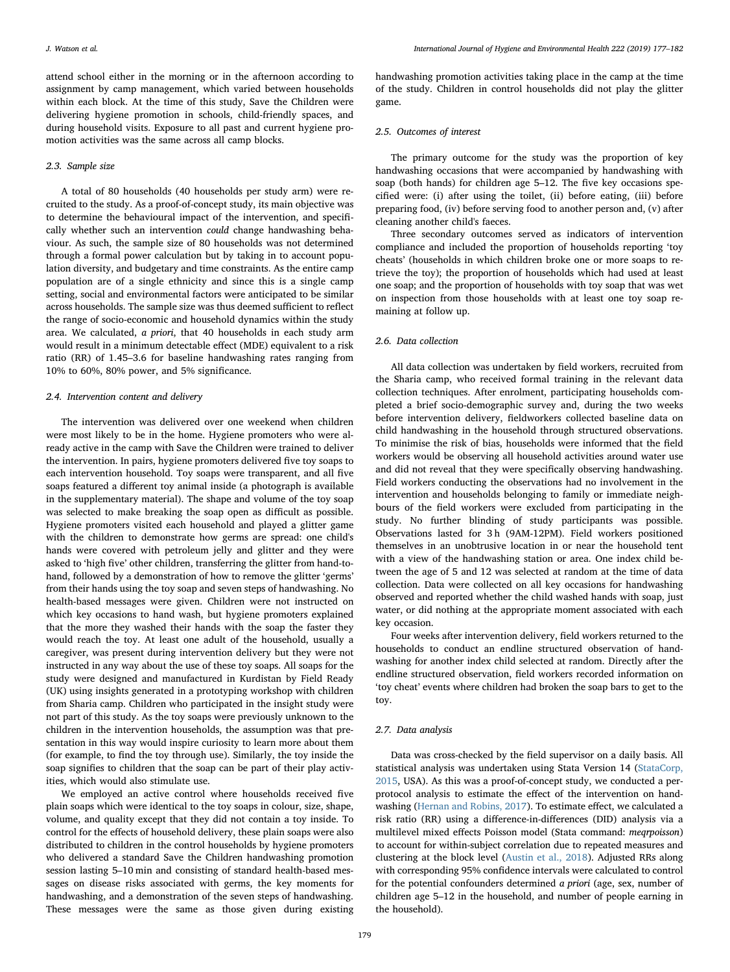attend school either in the morning or in the afternoon according to assignment by camp management, which varied between households within each block. At the time of this study, Save the Children were delivering hygiene promotion in schools, child-friendly spaces, and during household visits. Exposure to all past and current hygiene promotion activities was the same across all camp blocks.

## 2.3. Sample size

A total of 80 households (40 households per study arm) were recruited to the study. As a proof-of-concept study, its main objective was to determine the behavioural impact of the intervention, and specifically whether such an intervention could change handwashing behaviour. As such, the sample size of 80 households was not determined through a formal power calculation but by taking in to account population diversity, and budgetary and time constraints. As the entire camp population are of a single ethnicity and since this is a single camp setting, social and environmental factors were anticipated to be similar across households. The sample size was thus deemed sufficient to reflect the range of socio-economic and household dynamics within the study area. We calculated, a priori, that 40 households in each study arm would result in a minimum detectable effect (MDE) equivalent to a risk ratio (RR) of 1.45–3.6 for baseline handwashing rates ranging from 10% to 60%, 80% power, and 5% significance.

#### 2.4. Intervention content and delivery

The intervention was delivered over one weekend when children were most likely to be in the home. Hygiene promoters who were already active in the camp with Save the Children were trained to deliver the intervention. In pairs, hygiene promoters delivered five toy soaps to each intervention household. Toy soaps were transparent, and all five soaps featured a different toy animal inside (a photograph is available in the supplementary material). The shape and volume of the toy soap was selected to make breaking the soap open as difficult as possible. Hygiene promoters visited each household and played a glitter game with the children to demonstrate how germs are spread: one child's hands were covered with petroleum jelly and glitter and they were asked to 'high five' other children, transferring the glitter from hand-tohand, followed by a demonstration of how to remove the glitter 'germs' from their hands using the toy soap and seven steps of handwashing. No health-based messages were given. Children were not instructed on which key occasions to hand wash, but hygiene promoters explained that the more they washed their hands with the soap the faster they would reach the toy. At least one adult of the household, usually a caregiver, was present during intervention delivery but they were not instructed in any way about the use of these toy soaps. All soaps for the study were designed and manufactured in Kurdistan by Field Ready (UK) using insights generated in a prototyping workshop with children from Sharia camp. Children who participated in the insight study were not part of this study. As the toy soaps were previously unknown to the children in the intervention households, the assumption was that presentation in this way would inspire curiosity to learn more about them (for example, to find the toy through use). Similarly, the toy inside the soap signifies to children that the soap can be part of their play activities, which would also stimulate use.

We employed an active control where households received five plain soaps which were identical to the toy soaps in colour, size, shape, volume, and quality except that they did not contain a toy inside. To control for the effects of household delivery, these plain soaps were also distributed to children in the control households by hygiene promoters who delivered a standard Save the Children handwashing promotion session lasting 5–10 min and consisting of standard health-based messages on disease risks associated with germs, the key moments for handwashing, and a demonstration of the seven steps of handwashing. These messages were the same as those given during existing handwashing promotion activities taking place in the camp at the time of the study. Children in control households did not play the glitter game.

#### 2.5. Outcomes of interest

The primary outcome for the study was the proportion of key handwashing occasions that were accompanied by handwashing with soap (both hands) for children age 5–12. The five key occasions specified were: (i) after using the toilet, (ii) before eating, (iii) before preparing food, (iv) before serving food to another person and, (v) after cleaning another child's faeces.

Three secondary outcomes served as indicators of intervention compliance and included the proportion of households reporting 'toy cheats' (households in which children broke one or more soaps to retrieve the toy); the proportion of households which had used at least one soap; and the proportion of households with toy soap that was wet on inspection from those households with at least one toy soap remaining at follow up.

## 2.6. Data collection

All data collection was undertaken by field workers, recruited from the Sharia camp, who received formal training in the relevant data collection techniques. After enrolment, participating households completed a brief socio-demographic survey and, during the two weeks before intervention delivery, fieldworkers collected baseline data on child handwashing in the household through structured observations. To minimise the risk of bias, households were informed that the field workers would be observing all household activities around water use and did not reveal that they were specifically observing handwashing. Field workers conducting the observations had no involvement in the intervention and households belonging to family or immediate neighbours of the field workers were excluded from participating in the study. No further blinding of study participants was possible. Observations lasted for 3 h (9AM-12PM). Field workers positioned themselves in an unobtrusive location in or near the household tent with a view of the handwashing station or area. One index child between the age of 5 and 12 was selected at random at the time of data collection. Data were collected on all key occasions for handwashing observed and reported whether the child washed hands with soap, just water, or did nothing at the appropriate moment associated with each key occasion.

Four weeks after intervention delivery, field workers returned to the households to conduct an endline structured observation of handwashing for another index child selected at random. Directly after the endline structured observation, field workers recorded information on 'toy cheat' events where children had broken the soap bars to get to the toy.

#### 2.7. Data analysis

Data was cross-checked by the field supervisor on a daily basis. All statistical analysis was undertaken using Stata Version 14 ([StataCorp,](#page-5-28) [2015,](#page-5-28) USA). As this was a proof-of-concept study, we conducted a perprotocol analysis to estimate the effect of the intervention on handwashing ([Hernan and Robins, 2017](#page-5-29)). To estimate effect, we calculated a risk ratio (RR) using a difference-in-differences (DID) analysis via a multilevel mixed effects Poisson model (Stata command: meqrpoisson) to account for within-subject correlation due to repeated measures and clustering at the block level ([Austin et al., 2018\)](#page-5-30). Adjusted RRs along with corresponding 95% confidence intervals were calculated to control for the potential confounders determined a priori (age, sex, number of children age 5–12 in the household, and number of people earning in the household).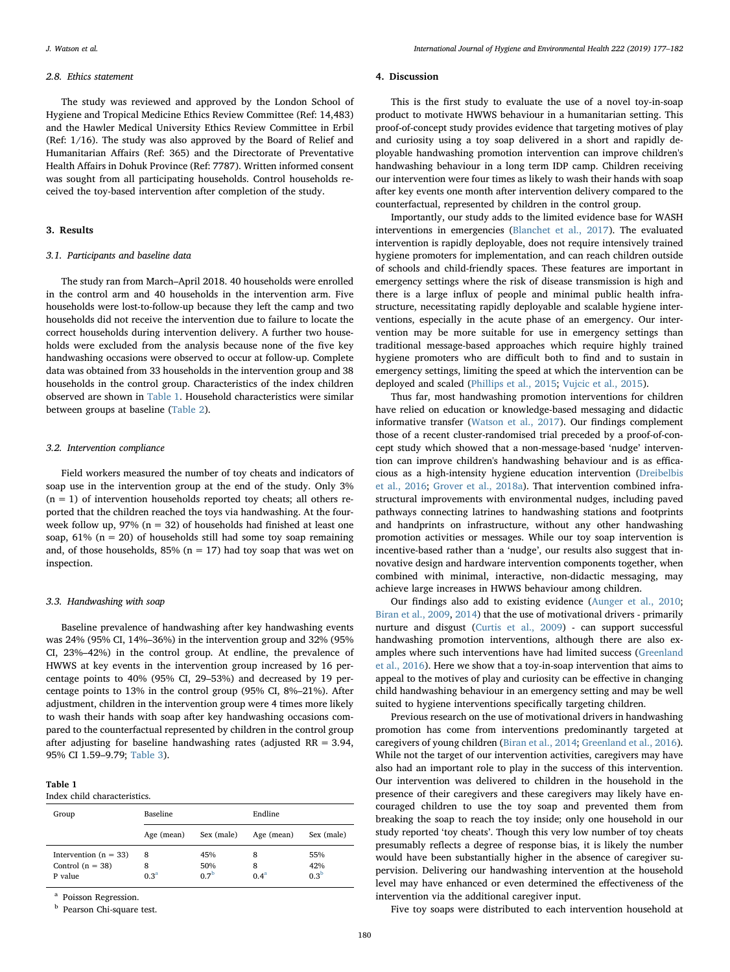#### 2.8. Ethics statement

The study was reviewed and approved by the London School of Hygiene and Tropical Medicine Ethics Review Committee (Ref: 14,483) and the Hawler Medical University Ethics Review Committee in Erbil (Ref: 1/16). The study was also approved by the Board of Relief and Humanitarian Affairs (Ref: 365) and the Directorate of Preventative Health Affairs in Dohuk Province (Ref: 7787). Written informed consent was sought from all participating households. Control households received the toy-based intervention after completion of the study.

## 3. Results

## 3.1. Participants and baseline data

The study ran from March–April 2018. 40 households were enrolled in the control arm and 40 households in the intervention arm. Five households were lost-to-follow-up because they left the camp and two households did not receive the intervention due to failure to locate the correct households during intervention delivery. A further two households were excluded from the analysis because none of the five key handwashing occasions were observed to occur at follow-up. Complete data was obtained from 33 households in the intervention group and 38 households in the control group. Characteristics of the index children observed are shown in [Table 1.](#page-3-0) Household characteristics were similar between groups at baseline [\(Table 2\)](#page-4-0).

## 3.2. Intervention compliance

Field workers measured the number of toy cheats and indicators of soap use in the intervention group at the end of the study. Only 3%  $(n = 1)$  of intervention households reported toy cheats; all others reported that the children reached the toys via handwashing. At the fourweek follow up, 97% ( $n = 32$ ) of households had finished at least one soap,  $61\%$  (n = 20) of households still had some toy soap remaining and, of those households,  $85\%$  (n = 17) had toy soap that was wet on inspection.

#### 3.3. Handwashing with soap

Baseline prevalence of handwashing after key handwashing events was 24% (95% CI, 14%–36%) in the intervention group and 32% (95% CI, 23%–42%) in the control group. At endline, the prevalence of HWWS at key events in the intervention group increased by 16 percentage points to 40% (95% CI, 29–53%) and decreased by 19 percentage points to 13% in the control group (95% CI, 8%–21%). After adjustment, children in the intervention group were 4 times more likely to wash their hands with soap after key handwashing occasions compared to the counterfactual represented by children in the control group after adjusting for baseline handwashing rates (adjusted RR = 3.94, 95% CI 1.59–9.79; [Table 3](#page-4-1)).

## <span id="page-3-0"></span>Table 1

Index child characteristics.

| Group                                                    | <b>Baseline</b>            |                                | Endline                    |                                |
|----------------------------------------------------------|----------------------------|--------------------------------|----------------------------|--------------------------------|
|                                                          | Age (mean)                 | Sex (male)                     | Age (mean)                 | Sex (male)                     |
| Intervention $(n = 33)$<br>Control $(n = 38)$<br>P value | 8<br>8<br>0.3 <sup>a</sup> | 45%<br>50%<br>0.7 <sup>b</sup> | 8<br>8<br>0.4 <sup>a</sup> | 55%<br>42%<br>0.3 <sup>b</sup> |

<span id="page-3-1"></span><sup>a</sup> Poisson Regression.

<span id="page-3-2"></span>**b** Pearson Chi-square test.

#### 4. Discussion

This is the first study to evaluate the use of a novel toy-in-soap product to motivate HWWS behaviour in a humanitarian setting. This proof-of-concept study provides evidence that targeting motives of play and curiosity using a toy soap delivered in a short and rapidly deployable handwashing promotion intervention can improve children's handwashing behaviour in a long term IDP camp. Children receiving our intervention were four times as likely to wash their hands with soap after key events one month after intervention delivery compared to the counterfactual, represented by children in the control group.

Importantly, our study adds to the limited evidence base for WASH interventions in emergencies ([Blanchet et al., 2017\)](#page-5-31). The evaluated intervention is rapidly deployable, does not require intensively trained hygiene promoters for implementation, and can reach children outside of schools and child-friendly spaces. These features are important in emergency settings where the risk of disease transmission is high and there is a large influx of people and minimal public health infrastructure, necessitating rapidly deployable and scalable hygiene interventions, especially in the acute phase of an emergency. Our intervention may be more suitable for use in emergency settings than traditional message-based approaches which require highly trained hygiene promoters who are difficult both to find and to sustain in emergency settings, limiting the speed at which the intervention can be deployed and scaled (Phillips [et al., 2015](#page-5-11); [Vujcic et al., 2015\)](#page-5-14).

Thus far, most handwashing promotion interventions for children have relied on education or knowledge-based messaging and didactic informative transfer ([Watson et al., 2017\)](#page-5-12). Our findings complement those of a recent cluster-randomised trial preceded by a proof-of-concept study which showed that a non-message-based 'nudge' intervention can improve children's handwashing behaviour and is as efficacious as a high-intensity hygiene education intervention ([Dreibelbis](#page-5-24) [et al., 2016](#page-5-24); [Grover et al., 2018a\)](#page-5-32). That intervention combined infrastructural improvements with environmental nudges, including paved pathways connecting latrines to handwashing stations and footprints and handprints on infrastructure, without any other handwashing promotion activities or messages. While our toy soap intervention is incentive-based rather than a 'nudge', our results also suggest that innovative design and hardware intervention components together, when combined with minimal, interactive, non-didactic messaging, may achieve large increases in HWWS behaviour among children.

Our findings also add to existing evidence ([Aunger et al., 2010](#page-5-33); [Biran et al., 2009](#page-5-15), [2014](#page-5-21)) that the use of motivational drivers - primarily nurture and disgust [\(Curtis et al., 2009\)](#page-5-17) - can support successful handwashing promotion interventions, although there are also examples where such interventions have had limited success [\(Greenland](#page-5-34) [et al., 2016\)](#page-5-34). Here we show that a toy-in-soap intervention that aims to appeal to the motives of play and curiosity can be effective in changing child handwashing behaviour in an emergency setting and may be well suited to hygiene interventions specifically targeting children.

Previous research on the use of motivational drivers in handwashing promotion has come from interventions predominantly targeted at caregivers of young children ([Biran et al., 2014;](#page-5-21) [Greenland et al., 2016](#page-5-34)). While not the target of our intervention activities, caregivers may have also had an important role to play in the success of this intervention. Our intervention was delivered to children in the household in the presence of their caregivers and these caregivers may likely have encouraged children to use the toy soap and prevented them from breaking the soap to reach the toy inside; only one household in our study reported 'toy cheats'. Though this very low number of toy cheats presumably reflects a degree of response bias, it is likely the number would have been substantially higher in the absence of caregiver supervision. Delivering our handwashing intervention at the household level may have enhanced or even determined the effectiveness of the intervention via the additional caregiver input.

Five toy soaps were distributed to each intervention household at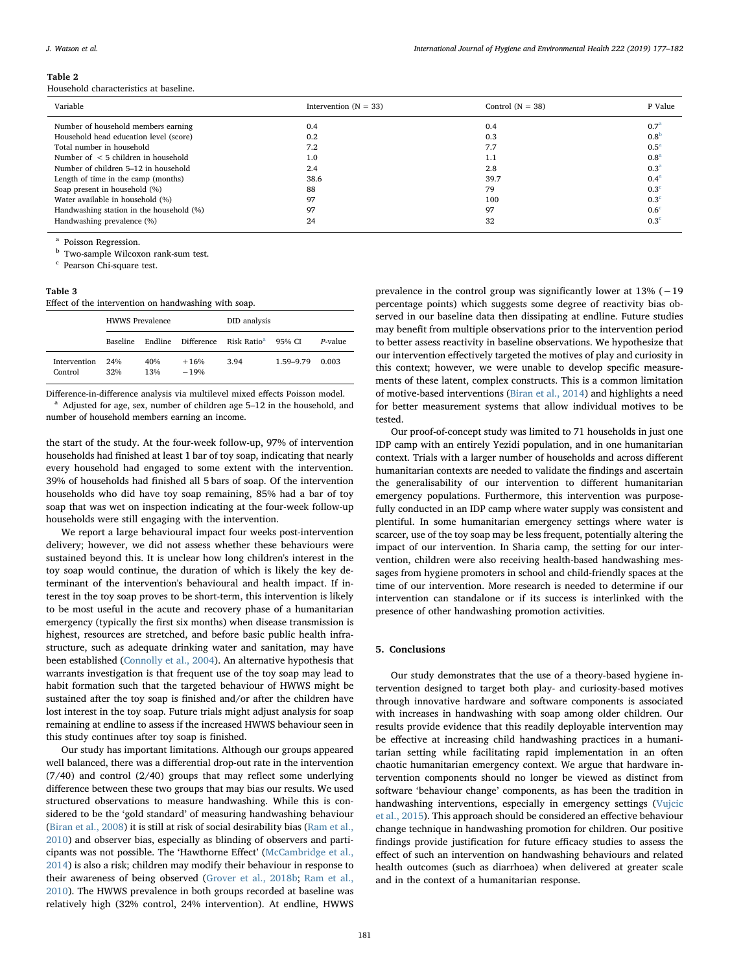#### <span id="page-4-0"></span>Table 2

Household characteristics at baseline.

| Variable                                 | Intervention $(N = 33)$ | Control $(N = 38)$ | P Value          |
|------------------------------------------|-------------------------|--------------------|------------------|
| Number of household members earning      | 0.4                     | 0.4                | 0.7 <sup>a</sup> |
| Household head education level (score)   | 0.2                     | 0.3                | 0.8 <sup>b</sup> |
| Total number in household                | 7.2                     | 7.7                | 0.5 <sup>a</sup> |
| Number of $\leq$ 5 children in household | 1.0                     | 1.1                | 0.8 <sup>a</sup> |
| Number of children 5-12 in household     | 2.4                     | 2.8                | 0.3 <sup>a</sup> |
| Length of time in the camp (months)      | 38.6                    | 39.7               | 0.4 <sup>a</sup> |
| Soap present in household (%)            | 88                      | 79                 | 0.3 <sup>c</sup> |
| Water available in household (%)         | 97                      | 100                | 0.3 <sup>c</sup> |
| Handwashing station in the household (%) | 97                      | 97                 | 0.6 <sup>c</sup> |
| Handwashing prevalence (%)               | 24                      | 32                 | 0.3 <sup>c</sup> |

<span id="page-4-2"></span>Poisson Regression.

<span id="page-4-3"></span>**b** Two-sample Wilcoxon rank-sum test.

<span id="page-4-4"></span><sup>c</sup> Pearson Chi-square test.

## <span id="page-4-1"></span>Table 3

Effect of the intervention on handwashing with soap.

|                         | <b>HWWS Prevalence</b> |            |                  | DID analysis                       |           |         |
|-------------------------|------------------------|------------|------------------|------------------------------------|-----------|---------|
|                         | <b>Baseline</b>        | Endline    |                  | Difference Risk Ratio <sup>a</sup> | 95% CI    | P-value |
| Intervention<br>Control | $2.4\%$<br>32%         | 40%<br>13% | $+16%$<br>$-19%$ | 3.94                               | 1.59-9.79 | 0.003   |

Difference-in-difference analysis via multilevel mixed effects Poisson model.

<span id="page-4-5"></span><sup>a</sup> Adjusted for age, sex, number of children age 5–12 in the household, and number of household members earning an income.

the start of the study. At the four-week follow-up, 97% of intervention households had finished at least 1 bar of toy soap, indicating that nearly every household had engaged to some extent with the intervention. 39% of households had finished all 5 bars of soap. Of the intervention households who did have toy soap remaining, 85% had a bar of toy soap that was wet on inspection indicating at the four-week follow-up households were still engaging with the intervention.

We report a large behavioural impact four weeks post-intervention delivery; however, we did not assess whether these behaviours were sustained beyond this. It is unclear how long children's interest in the toy soap would continue, the duration of which is likely the key determinant of the intervention's behavioural and health impact. If interest in the toy soap proves to be short-term, this intervention is likely to be most useful in the acute and recovery phase of a humanitarian emergency (typically the first six months) when disease transmission is highest, resources are stretched, and before basic public health infrastructure, such as adequate drinking water and sanitation, may have been established [\(Connolly et al., 2004\)](#page-5-7). An alternative hypothesis that warrants investigation is that frequent use of the toy soap may lead to habit formation such that the targeted behaviour of HWWS might be sustained after the toy soap is finished and/or after the children have lost interest in the toy soap. Future trials might adjust analysis for soap remaining at endline to assess if the increased HWWS behaviour seen in this study continues after toy soap is finished.

Our study has important limitations. Although our groups appeared well balanced, there was a differential drop-out rate in the intervention (7/40) and control (2/40) groups that may reflect some underlying difference between these two groups that may bias our results. We used structured observations to measure handwashing. While this is considered to be the 'gold standard' of measuring handwashing behaviour ([Biran et al., 2008\)](#page-5-35) it is still at risk of social desirability bias [\(Ram et al.,](#page-5-36) [2010\)](#page-5-36) and observer bias, especially as blinding of observers and participants was not possible. The 'Hawthorne Effect' ([McCambridge et al.,](#page-5-13) [2014\)](#page-5-13) is also a risk; children may modify their behaviour in response to their awareness of being observed [\(Grover et al., 2018b;](#page-5-37) [Ram et al.,](#page-5-36) [2010\)](#page-5-36). The HWWS prevalence in both groups recorded at baseline was relatively high (32% control, 24% intervention). At endline, HWWS prevalence in the control group was significantly lower at 13% (−19 percentage points) which suggests some degree of reactivity bias observed in our baseline data then dissipating at endline. Future studies may benefit from multiple observations prior to the intervention period to better assess reactivity in baseline observations. We hypothesize that our intervention effectively targeted the motives of play and curiosity in this context; however, we were unable to develop specific measurements of these latent, complex constructs. This is a common limitation of motive-based interventions [\(Biran et al., 2014](#page-5-21)) and highlights a need for better measurement systems that allow individual motives to be tested.

Our proof-of-concept study was limited to 71 households in just one IDP camp with an entirely Yezidi population, and in one humanitarian context. Trials with a larger number of households and across different humanitarian contexts are needed to validate the findings and ascertain the generalisability of our intervention to different humanitarian emergency populations. Furthermore, this intervention was purposefully conducted in an IDP camp where water supply was consistent and plentiful. In some humanitarian emergency settings where water is scarcer, use of the toy soap may be less frequent, potentially altering the impact of our intervention. In Sharia camp, the setting for our intervention, children were also receiving health-based handwashing messages from hygiene promoters in school and child-friendly spaces at the time of our intervention. More research is needed to determine if our intervention can standalone or if its success is interlinked with the presence of other handwashing promotion activities.

## 5. Conclusions

Our study demonstrates that the use of a theory-based hygiene intervention designed to target both play- and curiosity-based motives through innovative hardware and software components is associated with increases in handwashing with soap among older children. Our results provide evidence that this readily deployable intervention may be effective at increasing child handwashing practices in a humanitarian setting while facilitating rapid implementation in an often chaotic humanitarian emergency context. We argue that hardware intervention components should no longer be viewed as distinct from software 'behaviour change' components, as has been the tradition in handwashing interventions, especially in emergency settings ([Vujcic](#page-5-14) [et al., 2015\)](#page-5-14). This approach should be considered an effective behaviour change technique in handwashing promotion for children. Our positive findings provide justification for future efficacy studies to assess the effect of such an intervention on handwashing behaviours and related health outcomes (such as diarrhoea) when delivered at greater scale and in the context of a humanitarian response.